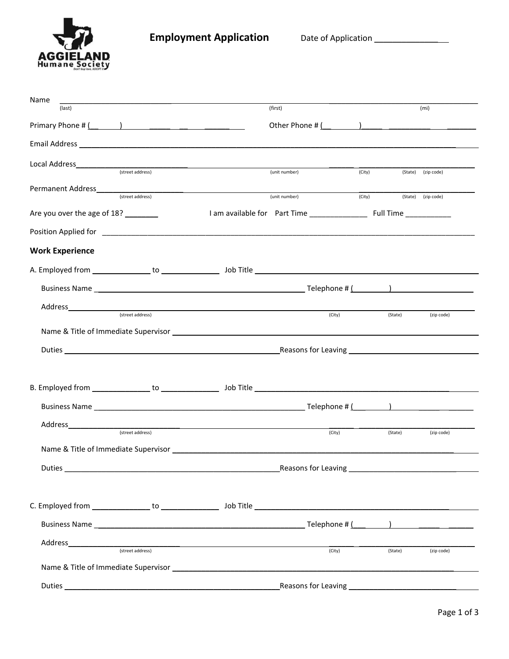

**Employment Application** Date of Application \_\_\_\_\_\_\_\_\_\_\_\_\_\_

| Name                        |                                                              |                                                                                                               |        |         |                                                                                    |
|-----------------------------|--------------------------------------------------------------|---------------------------------------------------------------------------------------------------------------|--------|---------|------------------------------------------------------------------------------------|
| (last)                      |                                                              | (first)                                                                                                       |        |         | (mi)                                                                               |
|                             |                                                              | Other Phone # $($                                                                                             |        |         |                                                                                    |
|                             |                                                              |                                                                                                               |        |         |                                                                                    |
|                             | (street address)                                             |                                                                                                               |        |         |                                                                                    |
|                             |                                                              | (unit number)                                                                                                 | (City) |         | (State) (zip code)                                                                 |
|                             | Permanent Address<br><u>Example 2008</u><br>(street address) | (unit number)                                                                                                 | (City) |         | (State) (zip code)                                                                 |
| Are you over the age of 18? |                                                              |                                                                                                               |        |         |                                                                                    |
|                             |                                                              |                                                                                                               |        |         |                                                                                    |
| <b>Work Experience</b>      |                                                              |                                                                                                               |        |         |                                                                                    |
|                             |                                                              |                                                                                                               |        |         |                                                                                    |
|                             |                                                              |                                                                                                               |        |         |                                                                                    |
|                             | (street address)                                             |                                                                                                               |        |         |                                                                                    |
|                             |                                                              | (City)                                                                                                        |        | (State) | (zip code)                                                                         |
|                             |                                                              | Name & Title of Immediate Supervisor entrance and the control of the control of the control of the control of |        |         |                                                                                    |
|                             |                                                              |                                                                                                               |        |         |                                                                                    |
|                             |                                                              |                                                                                                               |        |         |                                                                                    |
|                             |                                                              |                                                                                                               |        |         |                                                                                    |
|                             |                                                              |                                                                                                               |        |         |                                                                                    |
|                             | (street address)                                             |                                                                                                               |        |         |                                                                                    |
|                             |                                                              | (City)                                                                                                        |        | (State) | (zip code)                                                                         |
|                             |                                                              |                                                                                                               |        |         |                                                                                    |
| Duties                      |                                                              | Reasons for Leaving                                                                                           |        |         |                                                                                    |
|                             |                                                              |                                                                                                               |        |         |                                                                                    |
|                             |                                                              |                                                                                                               |        |         |                                                                                    |
|                             |                                                              |                                                                                                               |        |         | $\text{Telephone} \# \left( \begin{array}{ccc} 0 & 1 \\ 0 & 1 \end{array} \right)$ |
| Address                     |                                                              |                                                                                                               |        |         |                                                                                    |
|                             | (street address)                                             | (City)                                                                                                        |        | (State) | (zip code)                                                                         |
|                             |                                                              | Name & Title of Immediate Supervisor Law and Contract and Contract and Contract of Immediate Supervisor Law   |        |         |                                                                                    |
|                             |                                                              |                                                                                                               |        |         |                                                                                    |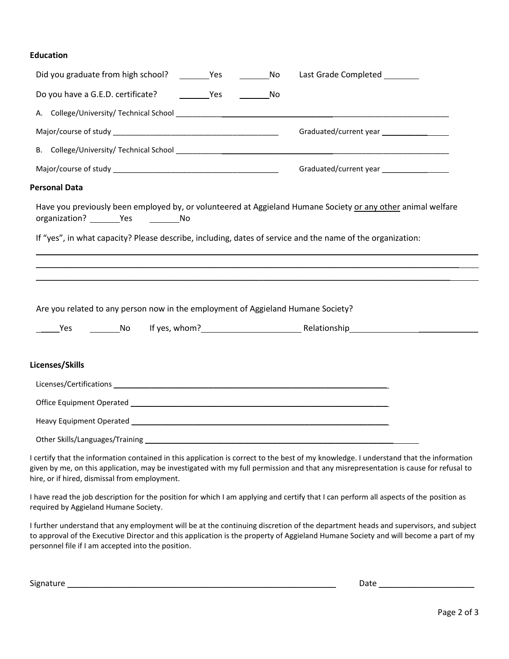## **Education**

| Last Grade Completed ________                                                                                                                                                                                                                                                  |
|--------------------------------------------------------------------------------------------------------------------------------------------------------------------------------------------------------------------------------------------------------------------------------|
|                                                                                                                                                                                                                                                                                |
|                                                                                                                                                                                                                                                                                |
|                                                                                                                                                                                                                                                                                |
|                                                                                                                                                                                                                                                                                |
| Graduated/current year __________________                                                                                                                                                                                                                                      |
| <b>Personal Data</b>                                                                                                                                                                                                                                                           |
| Have you previously been employed by, or volunteered at Aggieland Humane Society or any other animal welfare<br>organization? ________Yes ____________No                                                                                                                       |
| If "yes", in what capacity? Please describe, including, dates of service and the name of the organization:                                                                                                                                                                     |
|                                                                                                                                                                                                                                                                                |
|                                                                                                                                                                                                                                                                                |
|                                                                                                                                                                                                                                                                                |
| Are you related to any person now in the employment of Aggieland Humane Society?                                                                                                                                                                                               |
|                                                                                                                                                                                                                                                                                |
|                                                                                                                                                                                                                                                                                |
| Licenses/Skills                                                                                                                                                                                                                                                                |
|                                                                                                                                                                                                                                                                                |
|                                                                                                                                                                                                                                                                                |
|                                                                                                                                                                                                                                                                                |
|                                                                                                                                                                                                                                                                                |
| I certify that the information contained in this application is correct to the best of my knowledge. I understand that the information<br>given by me, on this application, may be investigated with my full permission and that any misrepresentation is cause for refusal to |

I have read the job description for the position for which I am applying and certify that I can perform all aspects of the position as required by Aggieland Humane Society.

I further understand that any employment will be at the continuing discretion of the department heads and supervisors, and subject to approval of the Executive Director and this application is the property of Aggieland Humane Society and will become a part of my personnel file if I am accepted into the position.

Signature and the state of the state of the state of the state of the state of the state of the state of the state of the state of the state of the state of the state of the state of the state of the state of the state of

hire, or if hired, dismissal from employment.